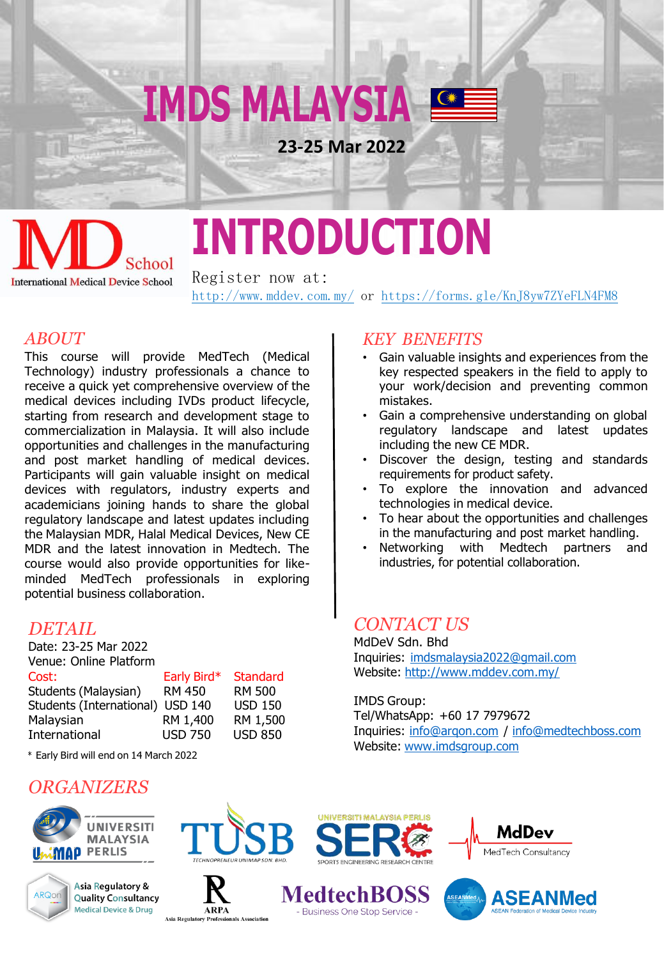

### School **International Medical Device School**

# **INTRODUCTION**

Register now at: <http://www.mddev.com.my/> or <https://forms.gle/KnJ8yw7ZYeFLN4FM8>

#### *ABOUT*

This course will provide MedTech (Medical Technology) industry professionals a chance to receive a quick yet comprehensive overview of the medical devices including IVDs product lifecycle, starting from research and development stage to commercialization in Malaysia. It will also include opportunities and challenges in the manufacturing and post market handling of medical devices. Participants will gain valuable insight on medical devices with regulators, industry experts and academicians joining hands to share the global regulatory landscape and latest updates including the Malaysian MDR, Halal Medical Devices, New CE MDR and the latest innovation in Medtech. The course would also provide opportunities for likeminded MedTech professionals in exploring potential business collaboration.

#### *DETAIL*

| Date: 23-25 Mar 2022     |                |                 |
|--------------------------|----------------|-----------------|
| Venue: Online Platform   |                |                 |
| Cost:                    | Early Bird*    | <b>Standard</b> |
| Students (Malaysian)     | <b>RM 450</b>  | <b>RM 500</b>   |
| Students (International) | <b>USD 140</b> | <b>USD 150</b>  |
| Malaysian                | RM 1,400       | RM 1,500        |
| International            | <b>USD 750</b> | <b>USD 850</b>  |
|                          |                |                 |

\* Early Bird will end on 14 March 2022

#### *ORGANIZERS*







onals Association

**ARPA** 

**Asia Regulatory** 









*KEY BENEFITS*

- Gain valuable insights and experiences from the key respected speakers in the field to apply to your work/decision and preventing common mistakes.
- Gain a comprehensive understanding on global regulatory landscape and latest updates including the new CE MDR.
- Discover the design, testing and standards requirements for product safety.
- To explore the innovation and advanced technologies in medical device.
- To hear about the opportunities and challenges in the manufacturing and post market handling.
- Networking with Medtech partners and industries, for potential collaboration.

#### *CONTACT US*

MdDeV Sdn. Bhd Inquiries: [imdsmalaysia2022@gmail.com](mailto:imdsmalaysia2022@gmail.com) Website: <http://www.mddev.com.my/>

IMDS Group: Tel/WhatsApp: +60 17 7979672 Inquiries: [info@arqon.com](mailto:info@arqon.com) / [info@medtechboss.com](mailto:info@medtechboss.com) Website: [www.imdsgroup.com](http://www.imdsgroup.com/)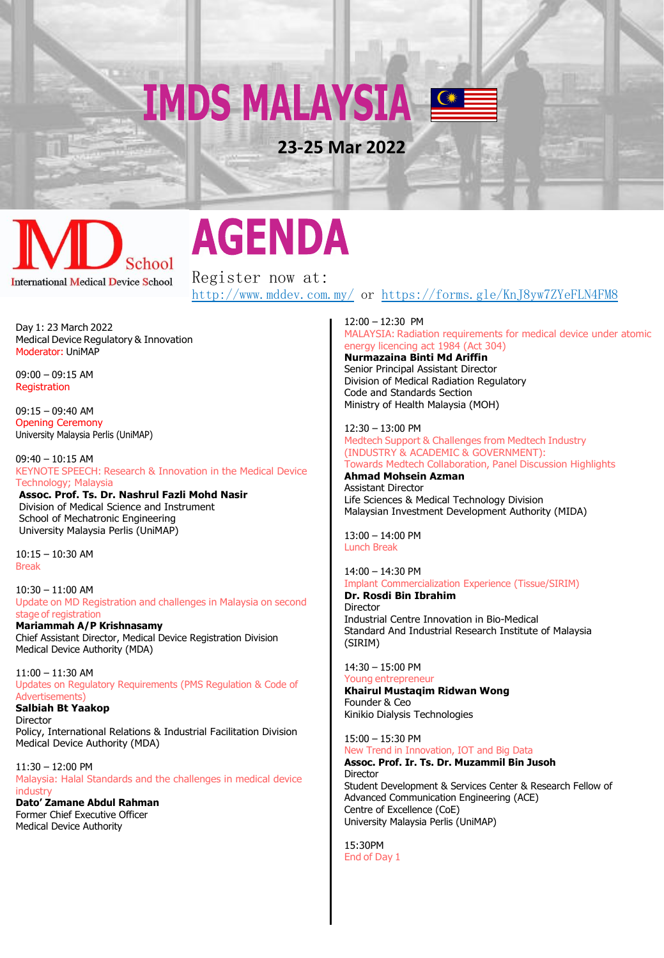**IMDS MALAYSIA** 

**23-25 Mar 2022**

### School **International Medical Device School**

### **AGENDA**

Register now at: <http://www.mddev.com.my/> or [https://forms.gle/KnJ8yw7ZYeFLN4FM8](https://docs.google.com/forms/d/e/1FAIpQLSd4OXYZ4MwRDbhjMyn0JfXZRtJQ1jOjB0wPMNTZWCPWPzWsTg/viewform)

Day 1: 23 March 2022 Medical Device Regulatory & Innovation Moderator: UniMAP

09:00 – 09:15 AM **Registration** 

09:15 – 09:40 AM Opening Ceremony University Malaysia Perlis (UniMAP)

09:40 – 10:15 AM KEYNOTE SPEECH: Research & Innovation in the Medical Device Technology; Malaysia

**Assoc. Prof. Ts. Dr. Nashrul Fazli Mohd Nasir** Division of Medical Science and Instrument School of Mechatronic Engineering University Malaysia Perlis (UniMAP)

10:15 – 10:30 AM Break

10:30 – 11:00 AM Update on MD Registration and challenges in Malaysia on second stage of registration

**Mariammah A/P Krishnasamy** Chief Assistant Director, Medical Device Registration Division Medical Device Authority (MDA)

11:00 – 11:30 AM Updates on Regulatory Requirements (PMS Regulation & Code of Advertisements)

**Salbiah Bt Yaakop** Director

Policy, International Relations & Industrial Facilitation Division Medical Device Authority (MDA)

11:30 – 12:00 PM Malaysia: Halal Standards and the challenges in medical device industry

**Dato' Zamane Abdul Rahman** Former Chief Executive Officer Medical Device Authority

12:00 – 12:30 PM MALAYSIA: Radiation requirements for medical device under atomic energy licencing act 1984 (Act 304)

**Nurmazaina Binti Md Ariffin** Senior Principal Assistant Director Division of Medical Radiation Regulatory Code and Standards Section Ministry of Health Malaysia (MOH)

12:30 – 13:00 PM Medtech Support & Challenges from Medtech Industry (INDUSTRY & ACADEMIC & GOVERNMENT): Towards Medtech Collaboration, Panel Discussion Highlights

**Ahmad Mohsein Azman** Assistant Director Life Sciences & Medical Technology Division Malaysian Investment Development Authority (MIDA)

13:00 – 14:00 PM Lunch Break

14:00 – 14:30 PM

Implant Commercialization Experience (Tissue/SIRIM)

**Dr. Rosdi Bin Ibrahim** Director Industrial Centre Innovation in Bio-Medical Standard And Industrial Research Institute of Malaysia (SIRIM)

14:30 – 15:00 PM Young entrepreneur

**Khairul Mustaqim Ridwan Wong**

Founder & Ceo Kinikio Dialysis Technologies

15:00 – 15:30 PM

New Trend in Innovation, IOT and Big Data **Assoc. Prof. Ir. Ts. Dr. Muzammil Bin Jusoh**

Director Student Development & Services Center & Research Fellow of Advanced Communication Engineering (ACE) Centre of Excellence (CoE) University Malaysia Perlis (UniMAP)

15:30PM End of Day 1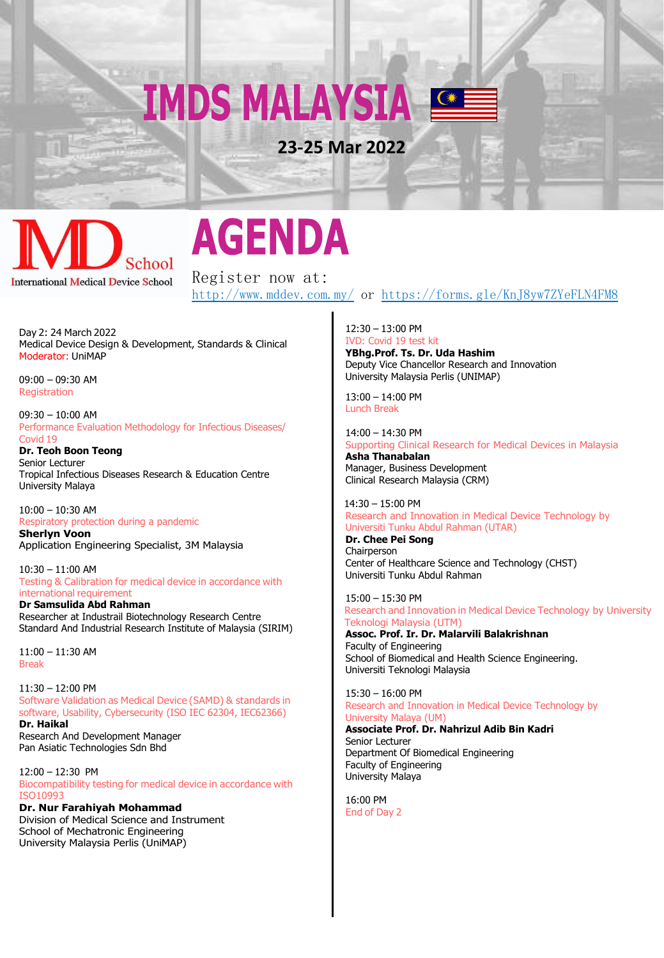**IMDS MALAYSIA** 

**23-25 Mar 2022**



## **AGENDA**

Register now at: <http://www.mddev.com.my/> or [https://forms.gle/KnJ8yw7ZYeFLN4FM8](https://docs.google.com/forms/d/e/1FAIpQLSd4OXYZ4MwRDbhjMyn0JfXZRtJQ1jOjB0wPMNTZWCPWPzWsTg/viewform)

Day 2: 24 March 2022 Medical Device Design & Development, Standards & Clinical Moderator: UniMAP

09:00 – 09:30 AM **Registration** 

09:30 – 10:00 AM Performance Evaluation Methodology for Infectious Diseases/ Covid 19

**Dr. Teoh Boon Teong** Senior Lecturer Tropical Infectious Diseases Research & Education Centre University Malaya

10:00 – 10:30 AM Respiratory protection during a pandemic **Sherlyn Voon** 

Application Engineering Specialist, 3M Malaysia

10:30 – 11:00 AM Testing & Calibration for medical device in accordance with international requirement

**Dr Samsulida Abd Rahman** Researcher at Industrail Biotechnology Research Centre Standard And Industrial Research Institute of Malaysia (SIRIM)

11:00 – 11:30 AM Break

11:30 – 12:00 PM Software Validation as Medical Device (SAMD) & standards in software, Usability, Cybersecurity (ISO IEC 62304, IEC62366) **Dr. Haikal** Research And Development Manager Pan Asiatic Technologies Sdn Bhd

12:00 – 12:30 PM Biocompatibility testing for medical device in accordance with ISO10993

**Dr. Nur Farahiyah Mohammad** Division of Medical Science and Instrument School of Mechatronic Engineering University Malaysia Perlis (UniMAP)

12:30 – 13:00 PM IVD: Covid 19 test kit **YBhg.Prof. Ts. Dr. Uda Hashim** Deputy Vice Chancellor Research and Innovation University Malaysia Perlis (UNIMAP)

13:00 – 14:00 PM Lunch Break

14:00 – 14:30 PM Supporting Clinical Research for Medical Devices in Malaysia

**Asha Thanabalan** Manager, Business Development Clinical Research Malaysia (CRM)

 14:30 – 15:00 PM Research and Innovation in Medical Device Technology by Universiti Tunku Abdul Rahman (UTAR)

**Dr. Chee Pei Song Chairperson** Center of Healthcare Science and Technology (CHST) Universiti Tunku Abdul Rahman

15:00 – 15:30 PM Research and Innovation in Medical Device Technology by University Teknologi Malaysia (UTM)

**Assoc. Prof. Ir. Dr. Malarvili Balakrishnan** Faculty of Engineering School of Biomedical and Health Science Engineering. Universiti Teknologi Malaysia

15:30 – 16:00 PM Research and Innovation in Medical Device Technology by University Malaya (UM)

**Associate Prof. Dr. Nahrizul Adib Bin Kadri** Senior Lecturer Department Of Biomedical Engineering Faculty of Engineering University Malaya

16:00 PM End of Day 2